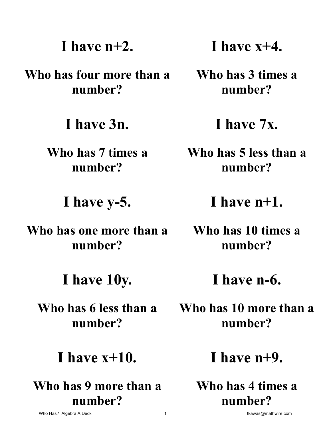# **I have n+2.**

**Who has four more than a number?** 

**I have 3n.** 

**Who has 7 times a number?** 

**I have y-5.** 

**Who has one more than a number?** 

**I have 10y.** 

**Who has 6 less than a number?** 

### **I have x+10.**

**Who has 9 more than a number?** 

**I have x+4.** 

**Who has 3 times a number?** 

**I have 7x.** 

**Who has 5 less than a number?** 

**I have n+1.** 

**Who has 10 times a number?** 

**I have n-6.** 

**Who has 10 more than a number?** 

**I have n+9.** 

**Who has 4 times a number?**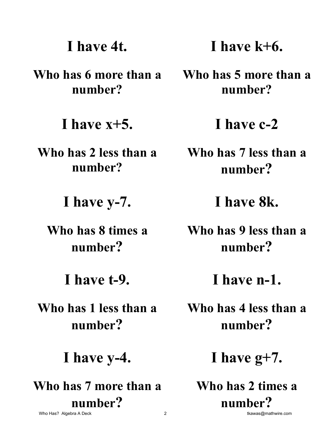# **I have 4t.**

**Who has 6 more than a number?** 

**I have x+5.** 

**Who has 2 less than a number?** 

**I have y-7.** 

**Who has 8 times a number?** 

**I have t-9.** 

**Who has 1 less than a number?** 

**I have y-4.** 

**Who has 7 more than a number?**  Who Has? Algebra A Deck **2** the community of the community of the community of the community of the community of the community of the community of the community of the community of the community of the community of the com

**I have k+6.** 

**Who has 5 more than a number?** 

**I have c-2** 

**Who has 7 less than a number?** 

**I have 8k.** 

**Who has 9 less than a number?** 

**I have n-1.** 

**Who has 4 less than a number?** 

**I have g+7.** 

**Who has 2 times a number?**